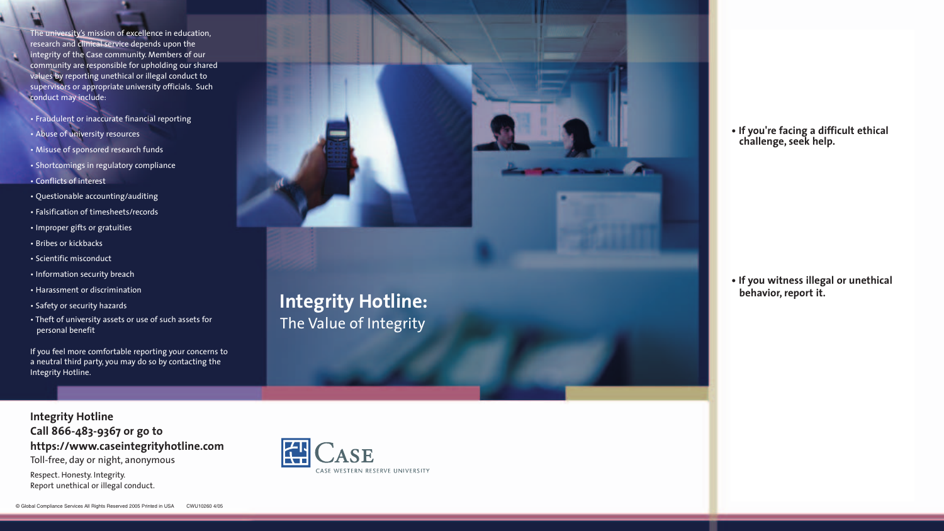**Integrity Hotline:** The Value of Integrity

## **• If you're facing a difficult ethical challenge, seek help.**

**• If you witness illegal or unethical behavior, report it.**

The university's mission of excellence in education, research and clinical service depends upon the integrity of the Case community. Members of our community are responsible for upholding our shared values by reporting unethical or illegal conduct to supervisors or appropriate university officials. Such conduct may include:

- Fraudulent or inaccurate financial reporting
- Abuse of university resources
- Misuse of sponsored research funds
- Shortcomings in regulatory compliance
- Conflicts of interest
- Questionable accounting/auditing
- Falsification of timesheets/records
- Improper gifts or gratuities
- Bribes or kickbacks
- Scientific misconduct
- Information security breach
- Harassment or discrimination
- Safety or security hazards
- Theft of university assets or use of such assets for personal benefit

If you feel more comfortable reporting your concerns to a neutral third party, you may do so by contacting the Integrity Hotline.



## **Integrity Hotline Call 866-483-9367 or go to https://www.caseintegrityhotline.com** Toll-free, day or night, anonymous

Respect. Honesty. Integrity. Report unethical or illegal conduct.